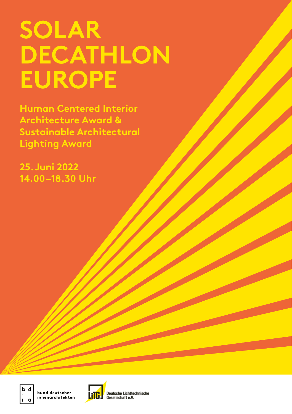# **SOLAR DECATHLON EUROPE**

**Human Centered Interior Architecture Award & Sustainable Architectural Lighting Award**

**25.Juni 2022 14.00–18.30 Uhr**